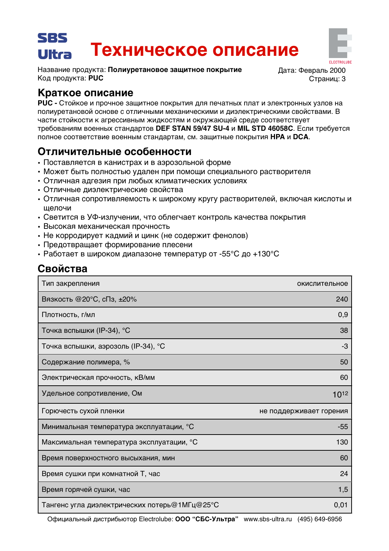### SBS Техническое описание Ultra

Название продукта: Полиуретановое защитное покрытие Код продукта: PUC

Дата: Февраль 2000 Страниц: 3

# Краткое описание

PUC - Стойкое и прочное защитное покрытия для печатных плат и электронных узлов на полиуретановой основе с отличными механическими и диэлектрическими свойствами. В части стойкости к агрессивным жидкостям и окружающей среде соответствует требованиям военных стандартов DEF STAN 59/47 SU-4 и MIL STD 46058C. Если требуется полное соответствие военным стандартам, см. защитные покрытия НРА и DCA.

# Отличительные особенности

- Поставляется в канистрах и в аэрозольной форме
- Может быть полностью удален при помощи специального растворителя
- Отличная адгезия при любых климатических условиях
- Отличные диэлектрические свойства
- Отличная сопротивляемость к широкому кругу растворителей, включая кислоты и щелочи
- Светится в УФ-излучении, что облегчает контроль качества покрытия
- Высокая механическая прочность
- Не корродирует кадмий и цинк (не содержит фенолов)
- Предотвращает формирование плесени
- Работает в широком диапазоне температур от -55°С до +130°С

# Свойства

| Тип закрепления                               | окислительное           |
|-----------------------------------------------|-------------------------|
| Вязкость @20°С, сПз, ±20%                     | 240                     |
| Плотность, г/мл                               | 0,9                     |
| Точка вспышки (IP-34), °С                     | 38                      |
| Точка вспышки, аэрозоль (IP-34), °С           | -3                      |
| Содержание полимера, %                        | 50                      |
| Электрическая прочность, кВ/мм                | 60                      |
| Удельное сопротивление, Ом                    | 1012                    |
| Горючесть сухой пленки                        | не поддерживает горения |
| Минимальная температура эксплуатации, °С      | $-55$                   |
| Максимальная температура эксплуатации, °С     | 130                     |
| Время поверхностного высыхания, мин           | 60                      |
| Время сушки при комнатной Т, час              | 24                      |
| Время горячей сушки, час                      | 1,5                     |
| Тангенс угла диэлектрических потерь@1МГц@25°С | 0,01                    |

Официальный дистрибьютор Electrolube: ООО "СБС-Ультра" www.sbs-ultra.ru (495) 649-6956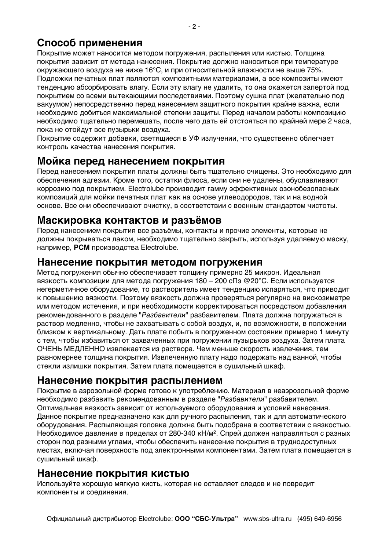# Способ применения

Покрытие может наносится методом погружения, распыления или кистью. Толщина покрытия зависит от метода нанесения. Покрытие должно наноситься при температуре окружающего воздуха не ниже 16°С, и при относительной влажности не выше 75%. Подложки печатных плат являются композитными материалами, а все композиты имеют тенденцию абсорбировать влагу. Если эту влагу не удалить, то она окажется запертой под покрытием со всеми вытекающими последствиями. Поэтому сушка плат (желательно под вакуумом) непосредственно перед нанесением защитного покрытия крайне важна, если необходимо добиться максимальной степени защиты. Перед началом работы композицию необходимо тщательно перемешать, после чего дать ей отстояться по крайней мере 2 часа, пока не отойдут все пузырьки воздуха.

Покрытие содержит добавки, светящиеся в УФ излучении, что существенно облегчает контроль качества нанесения покрытия.

## Мойка перед нанесением покрытия

Перед нанесением покрытия платы должны быть тщательно очищены. Это необходимо для обеспечения адгезии. Кроме того, остатки флюса, если они не удалены, обуславливают коррозию под покрытием. Electrolube производит гамму эффективных озонобезопасных композиций для мойки печатных плат как на основе углеводородов, так и на водной основе. Все они обеспечивают очистку, в соответствии с военным стандартом чистоты.

## Маскировка контактов и разъёмов

Перед нанесением покрытия все разъёмы, контакты и прочие элементы, которые не должны покрываться лаком, необходимо тщательно закрыть, используя удаляемую маску, например, PCM производства Electrolube.

#### Нанесение покрытия методом погружения

Метод погружения обычно обеспечивает толщину примерно 25 микрон. Идеальная вязкость композиции для метода погружения 180 - 200 сПз @20°С. Если используется негерметичное оборудование, то растворитель имеет тенденцию испаряться, что приводит к повышению вязкости. Поэтому вязкость должна проверяться регулярно на вискозиметре или методом истечения, и при необходимости корректироваться посредством добавления рекомендованного в разделе "Разбавители" разбавителем. Плата должна погружаться в раствор медленно, чтобы не захватывать с собой воздух, и, по возможности, в положении близком к вертикальному. Дать плате побыть в погруженном состоянии примерно 1 минуту с тем, чтобы избавиться от захваченных при погружении пузырьков воздуха. Затем плата ОЧЕНЬ МЕДЛЕННО извлекается из раствора. Чем меньше скорость извлечения, тем равномернее толщина покрытия. Извлеченную плату надо подержать над ванной, чтобы стекли излишки покрытия. Затем плата помещается в сушильный шкаф.

### Нанесение покрытия распылением

Покрытие в аэрозольной форме готово к употреблению. Материал в неаэрозольной форме необходимо разбавить рекомендованным в разделе "Разбавители" разбавителем. Оптимальная вязкость зависит от используемого оборудования и условий нанесения. Данное покрытие предназначено как для ручного распыления, так и для автоматического оборудования. Распыляющая головка должна быть подобрана в соответствии с вязкостью. Необходимое давление в пределах от 280-340 кН/м<sup>2</sup>. Спрей должен направляться с разных сторон под разными углами, чтобы обеспечить нанесение покрытия в труднодоступных местах, включая поверхность под электронными компонентами. Затем плата помещается в сушильный шкаф.

### Нанесение покрытия кистью

Используйте хорошую мягкую кисть, которая не оставляет следов и не повредит компоненты и соединения.